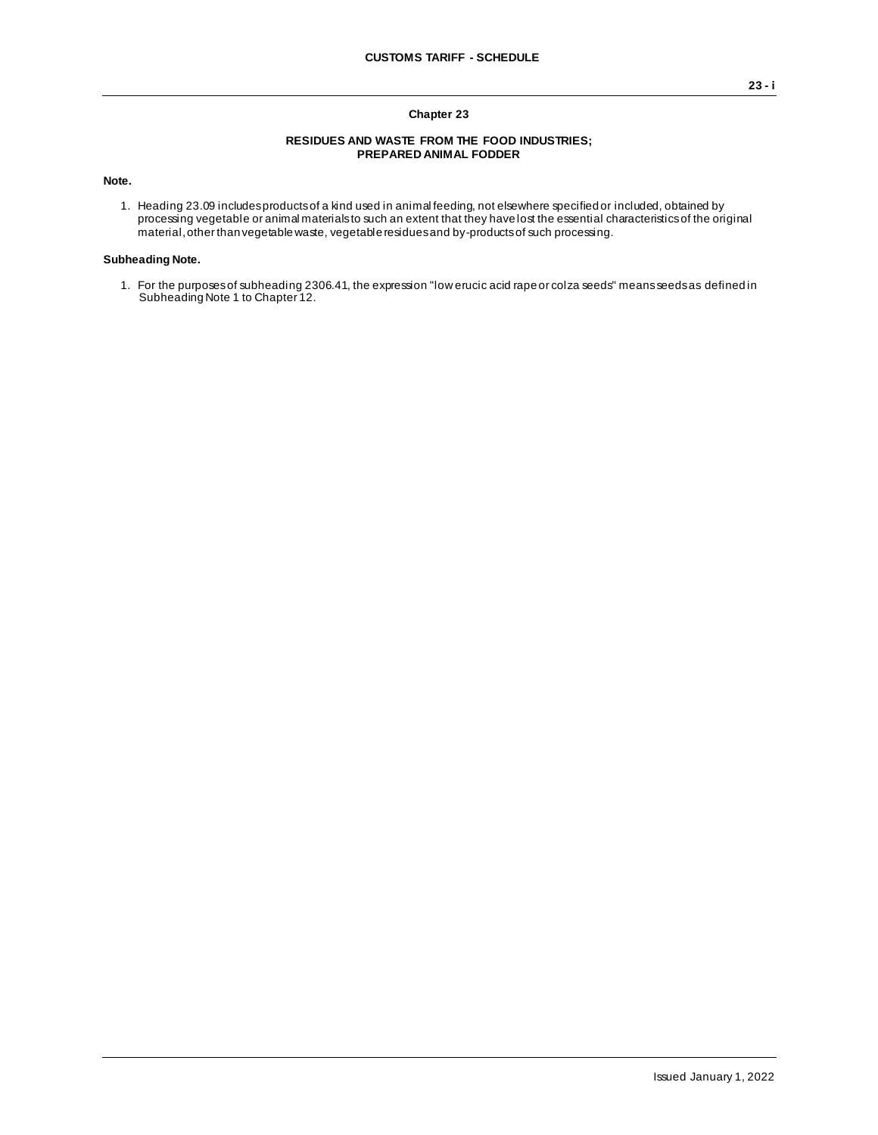### **Chapter 23**

#### **RESIDUES AND WASTE FROM THE FOOD INDUSTRIES; PREPARED ANIMAL FODDER**

**Note.**

1. Heading 23.09 includes products of a kind used in animal feeding, not elsewhere specified or included, obtained by processing vegetable or animal materials to such an extent that they have lost the essential characteristics of the original material, other than vegetable waste, vegetable residues and by-products of such processing.

### **Subheading Note.**

1. For the purposes of subheading 2306.41, the expression "low erucic acid rape or colza seeds" means seeds as defined in Subheading Note 1 to Chapter 12.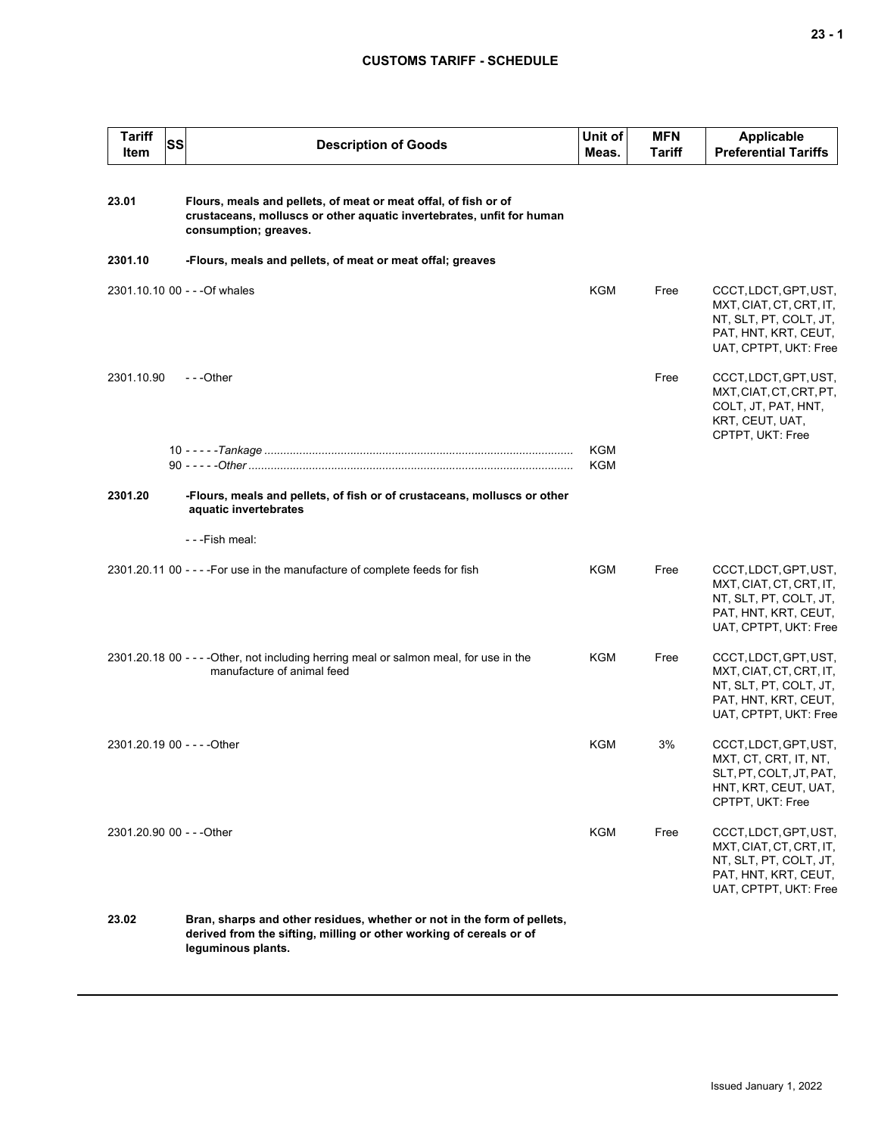# **CUSTOMS TARIFF - SCHEDULE**

| Tariff<br>Item              | <b>SS</b> | <b>Description of Goods</b>                                                                                                                                          | Unit of<br>Meas.         | <b>MFN</b><br><b>Tariff</b> | <b>Applicable</b><br><b>Preferential Tariffs</b>                                                                            |
|-----------------------------|-----------|----------------------------------------------------------------------------------------------------------------------------------------------------------------------|--------------------------|-----------------------------|-----------------------------------------------------------------------------------------------------------------------------|
| 23.01                       |           | Flours, meals and pellets, of meat or meat offal, of fish or of<br>crustaceans, molluscs or other aquatic invertebrates, unfit for human<br>consumption; greaves.    |                          |                             |                                                                                                                             |
| 2301.10                     |           | -Flours, meals and pellets, of meat or meat offal; greaves                                                                                                           |                          |                             |                                                                                                                             |
|                             |           | 2301.10.10 00 - - - Of whales                                                                                                                                        | KGM                      | Free                        | CCCT, LDCT, GPT, UST,<br>MXT, CIAT, CT, CRT, IT,<br>NT, SLT, PT, COLT, JT,<br>PAT, HNT, KRT, CEUT,<br>UAT, CPTPT, UKT: Free |
| 2301.10.90                  |           | $- -$ Other                                                                                                                                                          |                          | Free                        | CCCT, LDCT, GPT, UST,<br>MXT, CIAT, CT, CRT, PT,<br>COLT, JT, PAT, HNT,<br>KRT, CEUT, UAT,<br>CPTPT, UKT: Free              |
|                             |           |                                                                                                                                                                      | <b>KGM</b><br><b>KGM</b> |                             |                                                                                                                             |
| 2301.20                     |           | -Flours, meals and pellets, of fish or of crustaceans, molluscs or other<br>aquatic invertebrates                                                                    |                          |                             |                                                                                                                             |
|                             |           | - - -Fish meal:                                                                                                                                                      |                          |                             |                                                                                                                             |
|                             |           | 2301.20.11 00 - - - - For use in the manufacture of complete feeds for fish                                                                                          | <b>KGM</b>               | Free                        | CCCT, LDCT, GPT, UST,<br>MXT, CIAT, CT, CRT, IT,<br>NT, SLT, PT, COLT, JT,<br>PAT, HNT, KRT, CEUT,<br>UAT, CPTPT, UKT: Free |
|                             |           | 2301.20.18 00 - - - - Other, not including herring meal or salmon meal, for use in the<br>manufacture of animal feed                                                 | <b>KGM</b>               | Free                        | CCCT, LDCT, GPT, UST,<br>MXT, CIAT, CT, CRT, IT,<br>NT, SLT, PT, COLT, JT,<br>PAT, HNT, KRT, CEUT,<br>UAT, CPTPT, UKT: Free |
| 2301.20.19 00 - - - - Other |           |                                                                                                                                                                      | KGM                      | 3%                          | CCCT, LDCT, GPT, UST,<br>MXT, CT, CRT, IT, NT,<br>SLT, PT, COLT, JT, PAT,<br>HNT, KRT, CEUT, UAT,<br>CPTPT, UKT: Free       |
| 2301.20.90 00 - - - Other   |           |                                                                                                                                                                      | KGM                      | Free                        | CCCT, LDCT, GPT, UST,<br>MXT, CIAT, CT, CRT, IT,<br>NT, SLT, PT, COLT, JT,<br>PAT, HNT, KRT, CEUT,<br>UAT, CPTPT, UKT: Free |
| 23.02                       |           | Bran, sharps and other residues, whether or not in the form of pellets,<br>derived from the sifting, milling or other working of cereals or of<br>leguminous plants. |                          |                             |                                                                                                                             |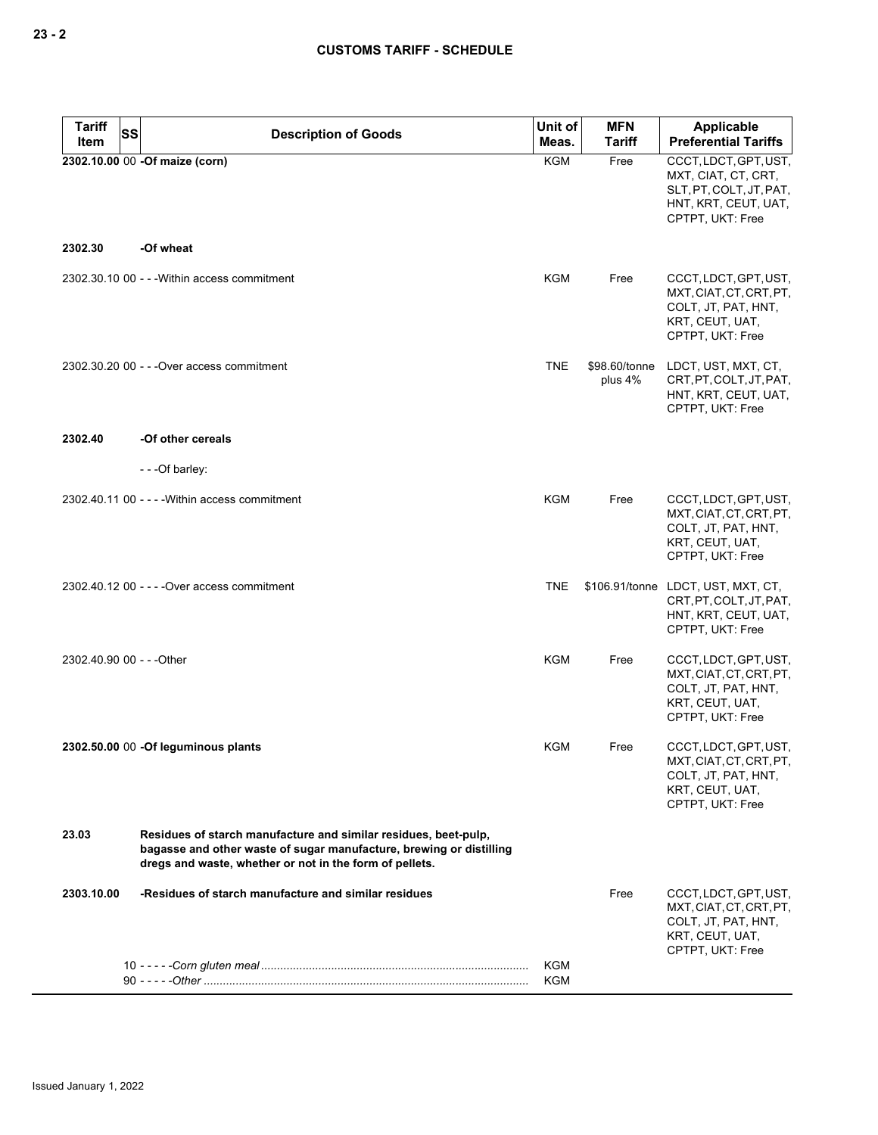| Tariff                    | SS<br><b>Description of Goods</b>                                                                                                                                                                 | Unit of             | <b>MFN</b>               | Applicable                                                                                                     |
|---------------------------|---------------------------------------------------------------------------------------------------------------------------------------------------------------------------------------------------|---------------------|--------------------------|----------------------------------------------------------------------------------------------------------------|
| Item                      | 2302.10.00 00 -Of maize (corn)                                                                                                                                                                    | Meas.<br><b>KGM</b> | <b>Tariff</b><br>Free    | <b>Preferential Tariffs</b><br>CCCT, LDCT, GPT, UST,                                                           |
|                           |                                                                                                                                                                                                   |                     |                          | MXT, CIAT, CT, CRT,<br>SLT, PT, COLT, JT, PAT,<br>HNT, KRT, CEUT, UAT,<br>CPTPT, UKT: Free                     |
| 2302.30                   | -Of wheat                                                                                                                                                                                         |                     |                          |                                                                                                                |
|                           | 2302.30.10 00 - - - Within access commitment                                                                                                                                                      | <b>KGM</b>          | Free                     | CCCT, LDCT, GPT, UST,<br>MXT, CIAT, CT, CRT, PT,<br>COLT, JT, PAT, HNT,<br>KRT, CEUT, UAT,<br>CPTPT, UKT: Free |
|                           | 2302.30.20 00 - - - Over access commitment                                                                                                                                                        | <b>TNE</b>          | \$98.60/tonne<br>plus 4% | LDCT, UST, MXT, CT,<br>CRT, PT, COLT, JT, PAT,<br>HNT, KRT, CEUT, UAT,<br>CPTPT, UKT: Free                     |
| 2302.40                   | -Of other cereals                                                                                                                                                                                 |                     |                          |                                                                                                                |
|                           | - - - Of barley:                                                                                                                                                                                  |                     |                          |                                                                                                                |
|                           | $2302.40.1100 - -$ - Within access commitment                                                                                                                                                     | KGM                 | Free                     | CCCT, LDCT, GPT, UST,<br>MXT, CIAT, CT, CRT, PT,<br>COLT, JT, PAT, HNT,<br>KRT, CEUT, UAT,<br>CPTPT, UKT: Free |
|                           | 2302.40.12 00 - - - - Over access commitment                                                                                                                                                      | <b>TNE</b>          |                          | \$106.91/tonne LDCT, UST, MXT, CT,<br>CRT, PT, COLT, JT, PAT,<br>HNT, KRT, CEUT, UAT,<br>CPTPT, UKT: Free      |
| 2302.40.90 00 - - - Other |                                                                                                                                                                                                   | <b>KGM</b>          | Free                     | CCCT, LDCT, GPT, UST,<br>MXT, CIAT, CT, CRT, PT,<br>COLT, JT, PAT, HNT,<br>KRT, CEUT, UAT,<br>CPTPT, UKT: Free |
|                           | 2302.50.00 00 -Of leguminous plants                                                                                                                                                               | <b>KGM</b>          | Free                     | CCCT, LDCT, GPT, UST,<br>MXT, CIAT, CT, CRT, PT,<br>COLT, JT, PAT, HNT,<br>KRT, CEUT, UAT,<br>CPTPT, UKT: Free |
| 23.03                     | Residues of starch manufacture and similar residues, beet-pulp,<br>bagasse and other waste of sugar manufacture, brewing or distilling<br>dregs and waste, whether or not in the form of pellets. |                     |                          |                                                                                                                |
| 2303.10.00                | -Residues of starch manufacture and similar residues                                                                                                                                              |                     | Free                     | CCCT, LDCT, GPT, UST,<br>MXT, CIAT, CT, CRT, PT,<br>COLT, JT, PAT, HNT,<br>KRT, CEUT, UAT,<br>CPTPT, UKT: Free |
|                           |                                                                                                                                                                                                   | KGM<br>KGM          |                          |                                                                                                                |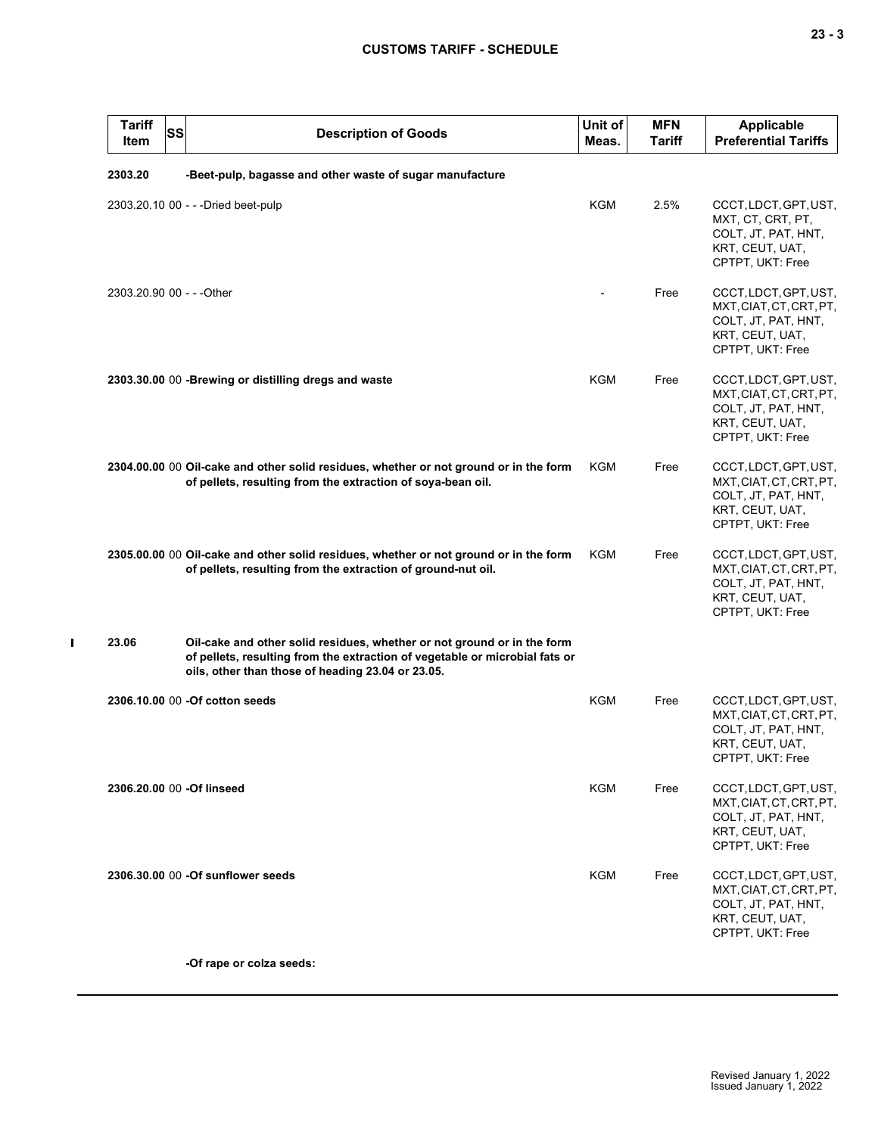| <b>Tariff</b><br><b>SS</b><br>Item | <b>Description of Goods</b>                                                                                                                                                                                 | Unit of<br>Meas. | <b>MFN</b><br><b>Tariff</b> | <b>Applicable</b><br><b>Preferential Tariffs</b>                                                               |
|------------------------------------|-------------------------------------------------------------------------------------------------------------------------------------------------------------------------------------------------------------|------------------|-----------------------------|----------------------------------------------------------------------------------------------------------------|
| 2303.20                            | -Beet-pulp, bagasse and other waste of sugar manufacture                                                                                                                                                    |                  |                             |                                                                                                                |
|                                    | 2303.20.10 00 - - - Dried beet-pulp                                                                                                                                                                         | <b>KGM</b>       | 2.5%                        | CCCT, LDCT, GPT, UST,<br>MXT, CT, CRT, PT,<br>COLT, JT, PAT, HNT,<br>KRT, CEUT, UAT,<br>CPTPT, UKT: Free       |
| 2303.20.90 00 - - - Other          |                                                                                                                                                                                                             |                  | Free                        | CCCT, LDCT, GPT, UST,<br>MXT, CIAT, CT, CRT, PT,<br>COLT, JT, PAT, HNT,<br>KRT, CEUT, UAT,<br>CPTPT, UKT: Free |
|                                    | 2303.30.00 00 - Brewing or distilling dregs and waste                                                                                                                                                       | KGM              | Free                        | CCCT, LDCT, GPT, UST,<br>MXT, CIAT, CT, CRT, PT,<br>COLT, JT, PAT, HNT,<br>KRT, CEUT, UAT,<br>CPTPT, UKT: Free |
|                                    | 2304.00.00 00 Oil-cake and other solid residues, whether or not ground or in the form<br>of pellets, resulting from the extraction of soya-bean oil.                                                        | KGM              | Free                        | CCCT, LDCT, GPT, UST,<br>MXT, CIAT, CT, CRT, PT,<br>COLT, JT, PAT, HNT,<br>KRT, CEUT, UAT,<br>CPTPT, UKT: Free |
|                                    | 2305.00.00 00 Oil-cake and other solid residues, whether or not ground or in the form<br>of pellets, resulting from the extraction of ground-nut oil.                                                       | KGM              | Free                        | CCCT, LDCT, GPT, UST,<br>MXT, CIAT, CT, CRT, PT,<br>COLT, JT, PAT, HNT,<br>KRT, CEUT, UAT,<br>CPTPT, UKT: Free |
| 23.06                              | Oil-cake and other solid residues, whether or not ground or in the form<br>of pellets, resulting from the extraction of vegetable or microbial fats or<br>oils, other than those of heading 23.04 or 23.05. |                  |                             |                                                                                                                |
|                                    | 2306.10.00 00 - Of cotton seeds                                                                                                                                                                             | KGM              | Free                        | CCCT, LDCT, GPT, UST,<br>MXT, CIAT, CT, CRT, PT,<br>COLT, JT, PAT, HNT,<br>KRT, CEUT, UAT,<br>CPTPT, UKT: Free |
| 2306.20.00 00 -Of linseed          |                                                                                                                                                                                                             | KGM              | Free                        | CCCT, LDCT, GPT, UST,<br>MXT, CIAT, CT, CRT, PT,<br>COLT, JT, PAT, HNT,<br>KRT, CEUT, UAT,<br>CPTPT, UKT: Free |
|                                    | 2306.30.00 00 - Of sunflower seeds                                                                                                                                                                          | KGM              | Free                        | CCCT, LDCT, GPT, UST,<br>MXT, CIAT, CT, CRT, PT,<br>COLT, JT, PAT, HNT,<br>KRT, CEUT, UAT,<br>CPTPT, UKT: Free |
|                                    | -Of rape or colza seeds:                                                                                                                                                                                    |                  |                             |                                                                                                                |

 $\mathbf{I}$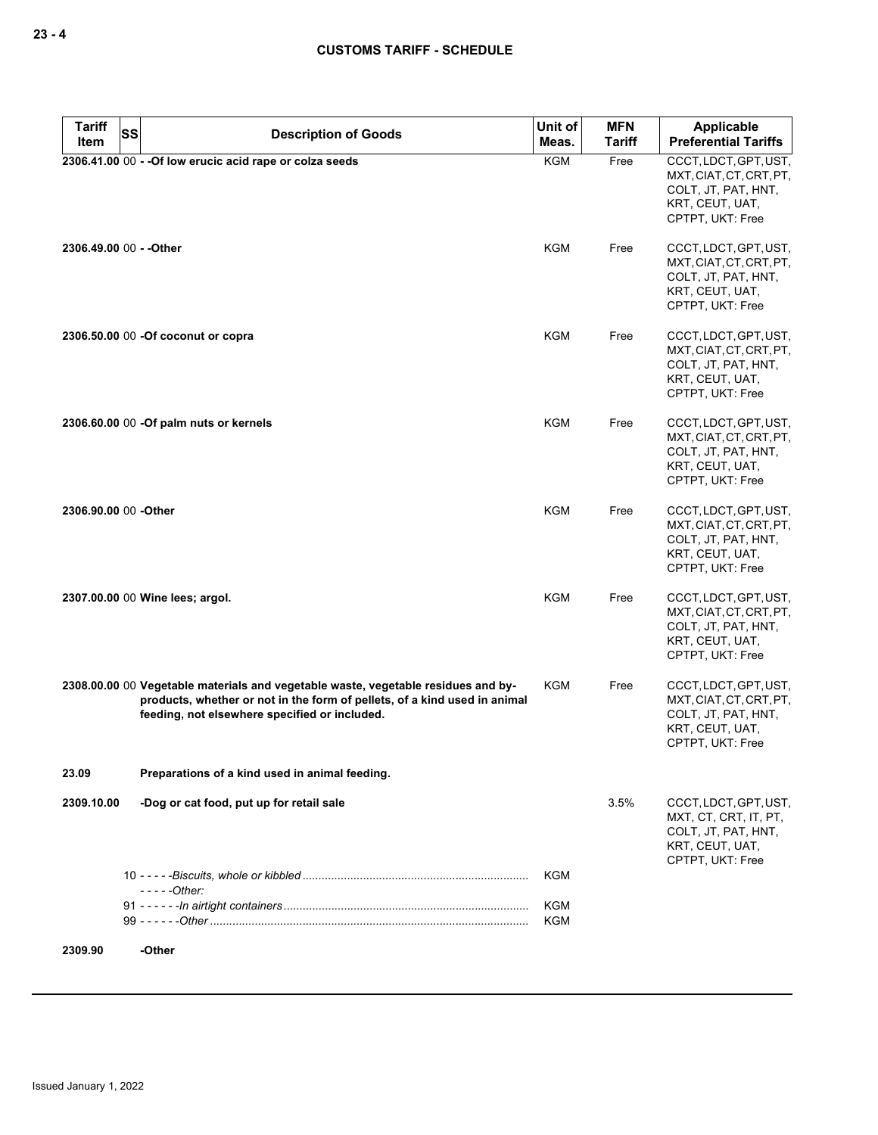| <b>Tariff</b>        | <b>SS</b><br><b>Description of Goods</b>                                                                                                                                                                        | Unit of                  | <b>MFN</b>    | <b>Applicable</b>                                                                                              |
|----------------------|-----------------------------------------------------------------------------------------------------------------------------------------------------------------------------------------------------------------|--------------------------|---------------|----------------------------------------------------------------------------------------------------------------|
| Item                 |                                                                                                                                                                                                                 | Meas.                    | <b>Tariff</b> | <b>Preferential Tariffs</b>                                                                                    |
|                      | 2306.41.00 00 - - Of low erucic acid rape or colza seeds                                                                                                                                                        | KGM                      | Free          | CCCT, LDCT, GPT, UST,<br>MXT, CIAT, CT, CRT, PT,<br>COLT, JT, PAT, HNT,<br>KRT, CEUT, UAT,<br>CPTPT, UKT: Free |
|                      | 2306.49.00 00 - - Other                                                                                                                                                                                         | KGM                      | Free          | CCCT, LDCT, GPT, UST,<br>MXT, CIAT, CT, CRT, PT,<br>COLT, JT, PAT, HNT,<br>KRT, CEUT, UAT,<br>CPTPT, UKT: Free |
|                      | 2306.50.00 00 - Of coconut or copra                                                                                                                                                                             | <b>KGM</b>               | Free          | CCCT, LDCT, GPT, UST,<br>MXT, CIAT, CT, CRT, PT,<br>COLT, JT, PAT, HNT,<br>KRT, CEUT, UAT,<br>CPTPT, UKT: Free |
|                      | 2306.60.00 00 - Of palm nuts or kernels                                                                                                                                                                         | KGM                      | Free          | CCCT, LDCT, GPT, UST,<br>MXT, CIAT, CT, CRT, PT,<br>COLT, JT, PAT, HNT,<br>KRT, CEUT, UAT,<br>CPTPT, UKT: Free |
| 2306.90.00 00 -Other |                                                                                                                                                                                                                 | <b>KGM</b>               | Free          | CCCT, LDCT, GPT, UST,<br>MXT, CIAT, CT, CRT, PT,<br>COLT, JT, PAT, HNT,<br>KRT, CEUT, UAT,<br>CPTPT, UKT: Free |
|                      | 2307.00.00 00 Wine lees; argol.                                                                                                                                                                                 | <b>KGM</b>               | Free          | CCCT, LDCT, GPT, UST,<br>MXT, CIAT, CT, CRT, PT,<br>COLT, JT, PAT, HNT,<br>KRT, CEUT, UAT,<br>CPTPT, UKT: Free |
|                      | 2308.00.00 00 Vegetable materials and vegetable waste, vegetable residues and by-<br>products, whether or not in the form of pellets, of a kind used in animal<br>feeding, not elsewhere specified or included. | KGM                      | Free          | CCCT, LDCT, GPT, UST,<br>MXT, CIAT, CT, CRT, PT,<br>COLT, JT, PAT, HNT,<br>KRT, CEUT, UAT,<br>CPTPT, UKT: Free |
| 23.09                | Preparations of a kind used in animal feeding.                                                                                                                                                                  |                          |               |                                                                                                                |
| 2309.10.00           | -Dog or cat food, put up for retail sale                                                                                                                                                                        |                          | 3.5%          | CCCT, LDCT, GPT, UST,<br>MXT, CT, CRT, IT, PT,<br>COLT, JT, PAT, HNT,<br>KRT, CEUT, UAT,<br>CPTPT, UKT: Free   |
|                      | $---Other:$                                                                                                                                                                                                     | <b>KGM</b>               |               |                                                                                                                |
|                      |                                                                                                                                                                                                                 | <b>KGM</b><br><b>KGM</b> |               |                                                                                                                |
| 2309.90              | -Other                                                                                                                                                                                                          |                          |               |                                                                                                                |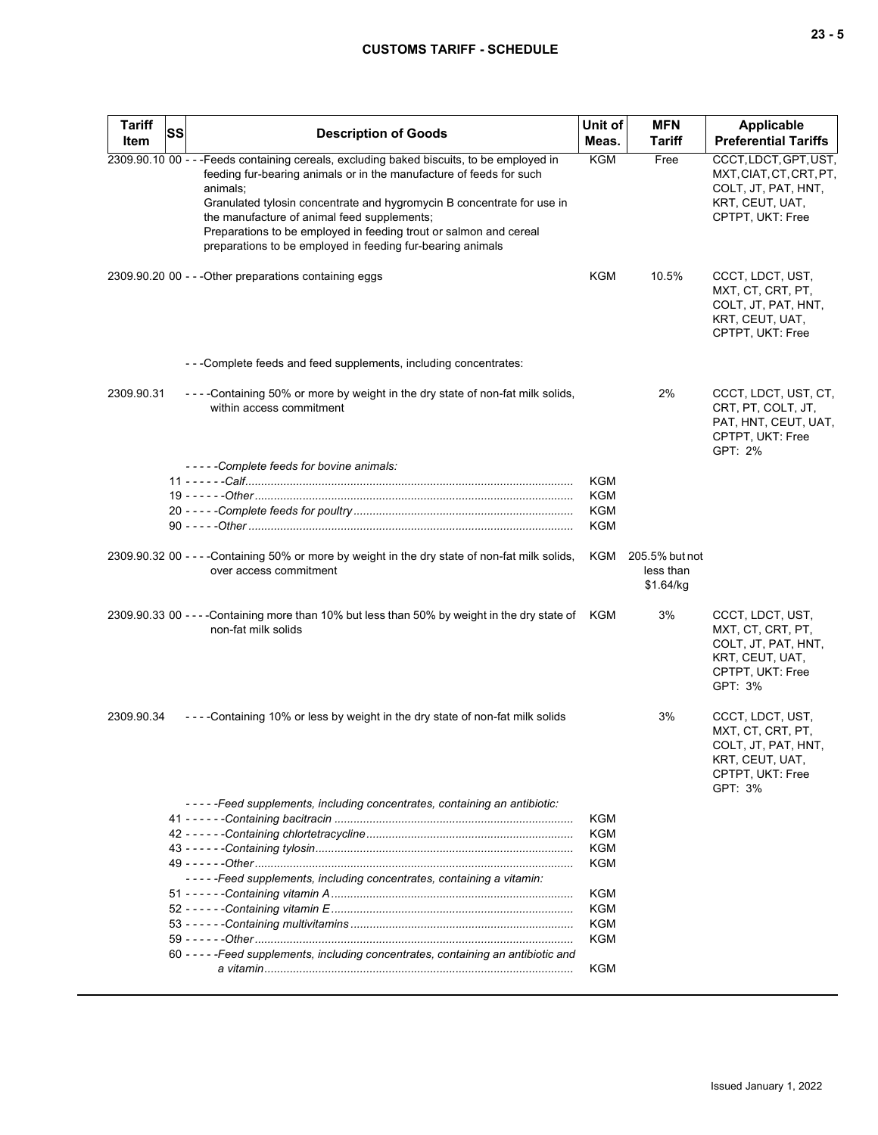# **CUSTOMS TARIFF - SCHEDULE**

| <b>Tariff</b><br>Item | <b>SS</b> | <b>Description of Goods</b>                                                                                                                                                                                                                                                                                                                                                                                                              | Unit of<br>Meas. | <b>MFN</b><br><b>Tariff</b>              | <b>Applicable</b><br><b>Preferential Tariffs</b>                                                               |
|-----------------------|-----------|------------------------------------------------------------------------------------------------------------------------------------------------------------------------------------------------------------------------------------------------------------------------------------------------------------------------------------------------------------------------------------------------------------------------------------------|------------------|------------------------------------------|----------------------------------------------------------------------------------------------------------------|
|                       |           | 2309.90.10 00 - - - Feeds containing cereals, excluding baked biscuits, to be employed in<br>feeding fur-bearing animals or in the manufacture of feeds for such<br>animals;<br>Granulated tylosin concentrate and hygromycin B concentrate for use in<br>the manufacture of animal feed supplements;<br>Preparations to be employed in feeding trout or salmon and cereal<br>preparations to be employed in feeding fur-bearing animals | KGM              | Free                                     | CCCT, LDCT, GPT, UST,<br>MXT, CIAT, CT, CRT, PT,<br>COLT, JT, PAT, HNT,<br>KRT, CEUT, UAT,<br>CPTPT, UKT: Free |
|                       |           | 2309.90.20 00 - - - Other preparations containing eggs                                                                                                                                                                                                                                                                                                                                                                                   | <b>KGM</b>       | 10.5%                                    | CCCT, LDCT, UST,<br>MXT, CT, CRT, PT,<br>COLT, JT, PAT, HNT,<br>KRT, CEUT, UAT,<br>CPTPT, UKT: Free            |
|                       |           | ---Complete feeds and feed supplements, including concentrates:                                                                                                                                                                                                                                                                                                                                                                          |                  |                                          |                                                                                                                |
| 2309.90.31            |           | ----Containing 50% or more by weight in the dry state of non-fat milk solids,<br>within access commitment                                                                                                                                                                                                                                                                                                                                |                  | 2%                                       | CCCT, LDCT, UST, CT,<br>CRT, PT, COLT, JT,<br>PAT, HNT, CEUT, UAT,<br>CPTPT, UKT: Free<br>GPT: 2%              |
|                       |           | -----Complete feeds for bovine animals:                                                                                                                                                                                                                                                                                                                                                                                                  |                  |                                          |                                                                                                                |
|                       |           |                                                                                                                                                                                                                                                                                                                                                                                                                                          | KGM              |                                          |                                                                                                                |
|                       |           |                                                                                                                                                                                                                                                                                                                                                                                                                                          | KGM              |                                          |                                                                                                                |
|                       |           |                                                                                                                                                                                                                                                                                                                                                                                                                                          | <b>KGM</b>       |                                          |                                                                                                                |
|                       |           |                                                                                                                                                                                                                                                                                                                                                                                                                                          | KGM              |                                          |                                                                                                                |
|                       |           | 2309.90.32 00 - - - - Containing 50% or more by weight in the dry state of non-fat milk solids,<br>over access commitment                                                                                                                                                                                                                                                                                                                | KGM              | 205.5% but not<br>less than<br>\$1.64/kg |                                                                                                                |
|                       |           | 2309.90.33 00 ----Containing more than 10% but less than 50% by weight in the dry state of KGM<br>non-fat milk solids                                                                                                                                                                                                                                                                                                                    |                  | 3%                                       | CCCT, LDCT, UST,<br>MXT, CT, CRT, PT,<br>COLT, JT, PAT, HNT,<br>KRT, CEUT, UAT,<br>CPTPT, UKT: Free<br>GPT: 3% |
| 2309.90.34            |           | ----Containing 10% or less by weight in the dry state of non-fat milk solids                                                                                                                                                                                                                                                                                                                                                             |                  | 3%                                       | CCCT, LDCT, UST,<br>MXT, CT, CRT, PT,<br>COLT, JT, PAT, HNT,<br>KRT, CEUT, UAT,<br>CPTPT, UKT: Free<br>GPT: 3% |
|                       |           | -----Feed supplements, including concentrates, containing an antibiotic:                                                                                                                                                                                                                                                                                                                                                                 |                  |                                          |                                                                                                                |
|                       |           |                                                                                                                                                                                                                                                                                                                                                                                                                                          | KGM              |                                          |                                                                                                                |
|                       |           |                                                                                                                                                                                                                                                                                                                                                                                                                                          | KGM              |                                          |                                                                                                                |
|                       |           |                                                                                                                                                                                                                                                                                                                                                                                                                                          | KGM              |                                          |                                                                                                                |
|                       |           |                                                                                                                                                                                                                                                                                                                                                                                                                                          | KGM              |                                          |                                                                                                                |
|                       |           | -----Feed supplements, including concentrates, containing a vitamin:                                                                                                                                                                                                                                                                                                                                                                     |                  |                                          |                                                                                                                |
|                       |           |                                                                                                                                                                                                                                                                                                                                                                                                                                          | KGM              |                                          |                                                                                                                |
|                       |           |                                                                                                                                                                                                                                                                                                                                                                                                                                          | <b>KGM</b>       |                                          |                                                                                                                |
|                       |           |                                                                                                                                                                                                                                                                                                                                                                                                                                          | <b>KGM</b>       |                                          |                                                                                                                |
|                       |           |                                                                                                                                                                                                                                                                                                                                                                                                                                          | KGM              |                                          |                                                                                                                |
|                       |           | 60 - - - - - Feed supplements, including concentrates, containing an antibiotic and                                                                                                                                                                                                                                                                                                                                                      | <b>KGM</b>       |                                          |                                                                                                                |